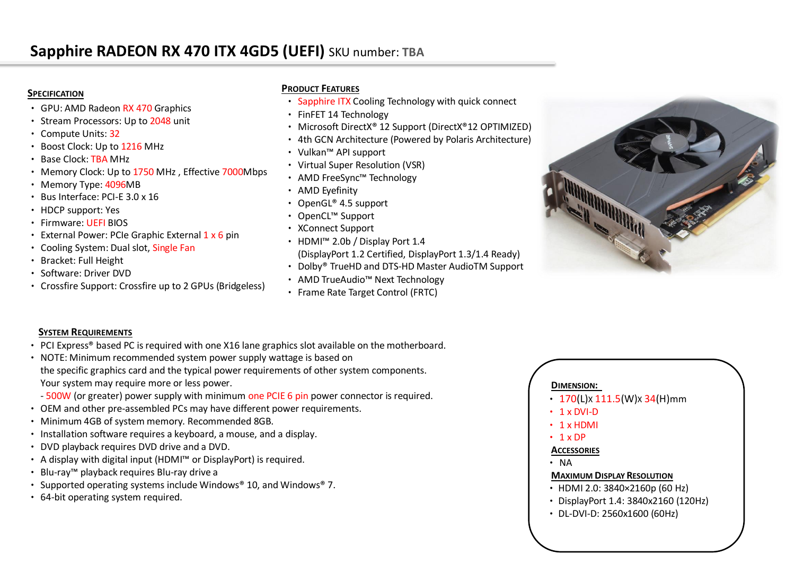#### **SPECIFICATION**

- GPU: AMD Radeon RX 470 Graphics
- Stream Processors: Up to 2048 unit
- Compute Units: 32
- Boost Clock: Up to 1216 MHz
- Base Clock: TBA MHz
- Memory Clock: Up to 1750 MHz , Effective 7000Mbps
- Memory Type: 4096MB
- Bus Interface: PCI-E 3.0 x 16
- HDCP support: Yes
- Firmware: UEFI BIOS
- External Power: PCIe Graphic External  $1 \times 6$  pin
- Cooling System: Dual slot, Single Fan
- Bracket: Full Height
- Software: Driver DVD
- Crossfire Support: Crossfire up to 2 GPUs (Bridgeless)

# **PRODUCT FEATURES**

- Sapphire ITX Cooling Technology with quick connect
- FinFET 14 Technology
- Microsoft DirectX® 12 Support (DirectX®12 OPTIMIZED)
- 4th GCN Architecture (Powered by Polaris Architecture)
- Vulkan™ API support
- Virtual Super Resolution (VSR)
- AMD FreeSync™ Technology
- AMD Eyefinity
- OpenGL® 4.5 support
- OpenCL™ Support
- XConnect Support
- HDMI™ 2.0b / Display Port 1.4 (DisplayPort 1.2 Certified, DisplayPort 1.3/1.4 Ready)
- Dolby® TrueHD and DTS-HD Master AudioTM Support
- AMD TrueAudio™ Next Technology
- Frame Rate Target Control (FRTC)



# **SYSTEM REQUIREMENTS**

- PCI Express® based PC is required with one X16 lane graphics slot available on the motherboard.
- NOTE: Minimum recommended system power supply wattage is based on the specific graphics card and the typical power requirements of other system components. Your system may require more or less power.
	- 500W (or greater) power supply with minimum one PCIE 6 pin power connector is required.
- OEM and other pre-assembled PCs may have different power requirements.
- Minimum 4GB of system memory. Recommended 8GB.
- Installation software requires a keyboard, a mouse, and a display.
- DVD playback requires DVD drive and a DVD.
- A display with digital input (HDMI™ or DisplayPort) is required.
- Blu-ray™ playback requires Blu-ray drive a
- Supported operating systems include Windows® 10, and Windows® 7.
- 64-bit operating system required.

# **DIMENSION:**

- $170(L)x 111.5(W)x 34(H)mm$
- $\cdot$  1 x DVI-D
- 1 x HDMI
- $\cdot$  1 x DP

# **ACCESSORIES**

• NA

# **MAXIMUM DISPLAY RESOLUTION**

- •HDMI 2.0: 3840×2160p (60 Hz)
- •DisplayPort 1.4: 3840x2160 (120Hz)
- •DL-DVI-D: 2560x1600 (60Hz)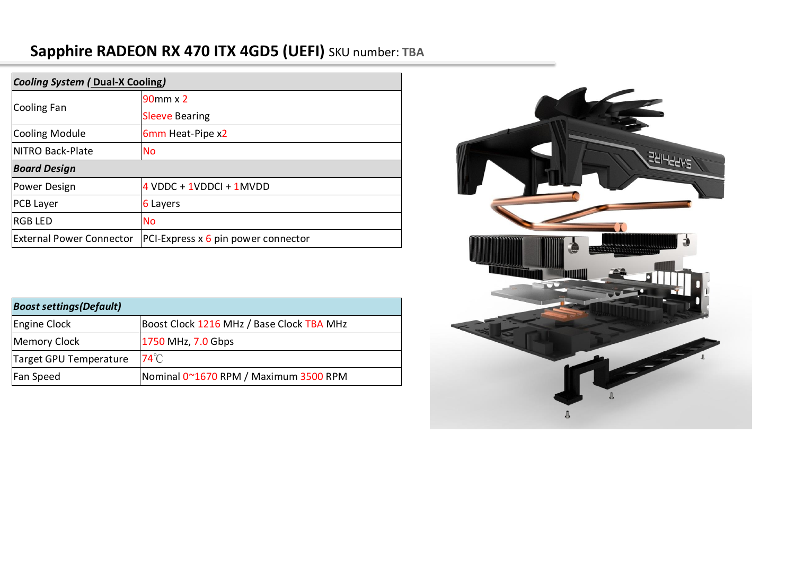# **Sapphire RADEON RX 470 ITX 4GD5 (UEFI)** SKU number: **TBA**

| <b>Cooling System (Dual-X Cooling)</b> |                                     |
|----------------------------------------|-------------------------------------|
| Cooling Fan                            | $90$ mm x $2$                       |
|                                        | <b>Sleeve Bearing</b>               |
| Cooling Module                         | 6mm Heat-Pipe x2                    |
| NITRO Back-Plate                       | <b>No</b>                           |
| <b>Board Design</b>                    |                                     |
| Power Design                           | $4$ VDDC + 1VDDCI + 1MVDD           |
| <b>PCB Layer</b>                       | 6 Layers                            |
| <b>RGB LED</b>                         | <b>No</b>                           |
| <b>External Power Connector</b>        | PCI-Express x 6 pin power connector |

| <b>Boost settings (Default)</b> |                                           |
|---------------------------------|-------------------------------------------|
| Engine Clock                    | Boost Clock 1216 MHz / Base Clock TBA MHz |
| Memory Clock                    | 1750 MHz, 7.0 Gbps                        |
| Target GPU Temperature          | $74^{\circ}$ C                            |
| Fan Speed                       | Nominal 0~1670 RPM / Maximum 3500 RPM     |